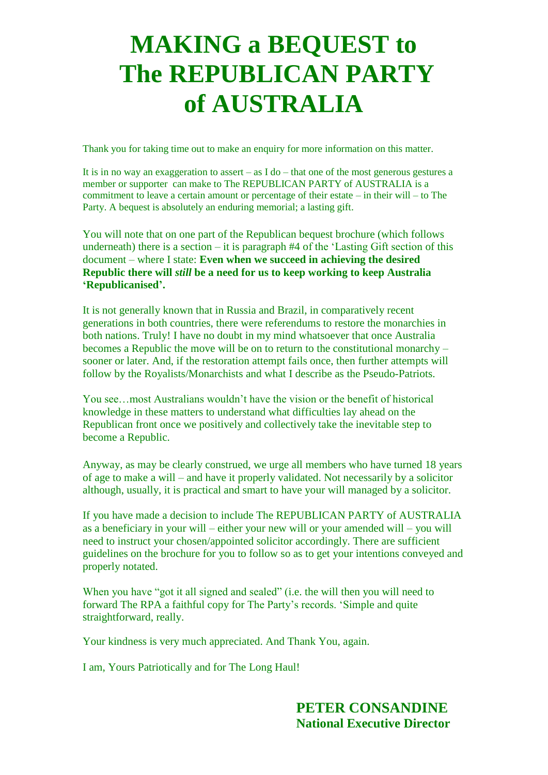# **MAKING a BEQUEST to The REPUBLICAN PARTY of AUSTRALIA**

Thank you for taking time out to make an enquiry for more information on this matter.

It is in no way an exaggeration to assert – as  $I$  do – that one of the most generous gestures a member or supporter can make to The REPUBLICAN PARTY of AUSTRALIA is a commitment to leave a certain amount or percentage of their estate – in their will – to The Party. A bequest is absolutely an enduring memorial; a lasting gift.

You will note that on one part of the Republican bequest brochure (which follows underneath) there is a section – it is paragraph  $#4$  of the 'Lasting Gift section of this document – where I state: **Even when we succeed in achieving the desired Republic there will** *still* **be a need for us to keep working to keep Australia 'Republicanised'.** 

It is not generally known that in Russia and Brazil, in comparatively recent generations in both countries, there were referendums to restore the monarchies in both nations. Truly! I have no doubt in my mind whatsoever that once Australia becomes a Republic the move will be on to return to the constitutional monarchy – sooner or later. And, if the restoration attempt fails once, then further attempts will follow by the Royalists/Monarchists and what I describe as the Pseudo-Patriots.

You see…most Australians wouldn't have the vision or the benefit of historical knowledge in these matters to understand what difficulties lay ahead on the Republican front once we positively and collectively take the inevitable step to become a Republic.

Anyway, as may be clearly construed, we urge all members who have turned 18 years of age to make a will – and have it properly validated. Not necessarily by a solicitor although, usually, it is practical and smart to have your will managed by a solicitor.

If you have made a decision to include The REPUBLICAN PARTY of AUSTRALIA as a beneficiary in your will – either your new will or your amended will – you will need to instruct your chosen/appointed solicitor accordingly. There are sufficient guidelines on the brochure for you to follow so as to get your intentions conveyed and properly notated.

When you have "got it all signed and sealed" (i.e. the will then you will need to forward The RPA a faithful copy for The Party's records. 'Simple and quite straightforward, really.

Your kindness is very much appreciated. And Thank You, again.

I am, Yours Patriotically and for The Long Haul!

 **PETER CONSANDINE National Executive Director**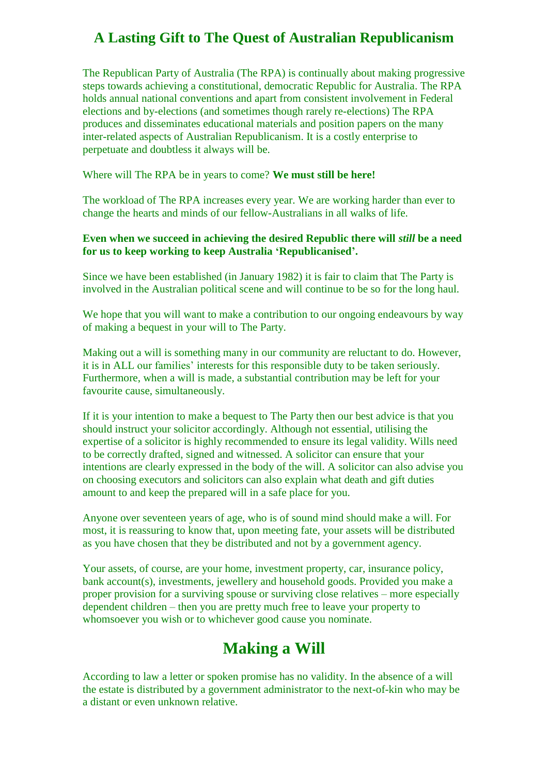# **A Lasting Gift to The Quest of Australian Republicanism**

The Republican Party of Australia (The RPA) is continually about making progressive steps towards achieving a constitutional, democratic Republic for Australia. The RPA holds annual national conventions and apart from consistent involvement in Federal elections and by-elections (and sometimes though rarely re-elections) The RPA produces and disseminates educational materials and position papers on the many inter-related aspects of Australian Republicanism. It is a costly enterprise to perpetuate and doubtless it always will be.

Where will The RPA be in years to come? **We must still be here!**

The workload of The RPA increases every year. We are working harder than ever to change the hearts and minds of our fellow-Australians in all walks of life.

#### **Even when we succeed in achieving the desired Republic there will** *still* **be a need for us to keep working to keep Australia 'Republicanised'.**

Since we have been established (in January 1982) it is fair to claim that The Party is involved in the Australian political scene and will continue to be so for the long haul.

We hope that you will want to make a contribution to our ongoing endeavours by way of making a bequest in your will to The Party.

Making out a will is something many in our community are reluctant to do. However, it is in ALL our families' interests for this responsible duty to be taken seriously. Furthermore, when a will is made, a substantial contribution may be left for your favourite cause, simultaneously.

If it is your intention to make a bequest to The Party then our best advice is that you should instruct your solicitor accordingly. Although not essential, utilising the expertise of a solicitor is highly recommended to ensure its legal validity. Wills need to be correctly drafted, signed and witnessed. A solicitor can ensure that your intentions are clearly expressed in the body of the will. A solicitor can also advise you on choosing executors and solicitors can also explain what death and gift duties amount to and keep the prepared will in a safe place for you.

Anyone over seventeen years of age, who is of sound mind should make a will. For most, it is reassuring to know that, upon meeting fate, your assets will be distributed as you have chosen that they be distributed and not by a government agency.

Your assets, of course, are your home, investment property, car, insurance policy, bank account(s), investments, jewellery and household goods. Provided you make a proper provision for a surviving spouse or surviving close relatives – more especially dependent children – then you are pretty much free to leave your property to whomsoever you wish or to whichever good cause you nominate.

# **Making a Will**

According to law a letter or spoken promise has no validity. In the absence of a will the estate is distributed by a government administrator to the next-of-kin who may be a distant or even unknown relative.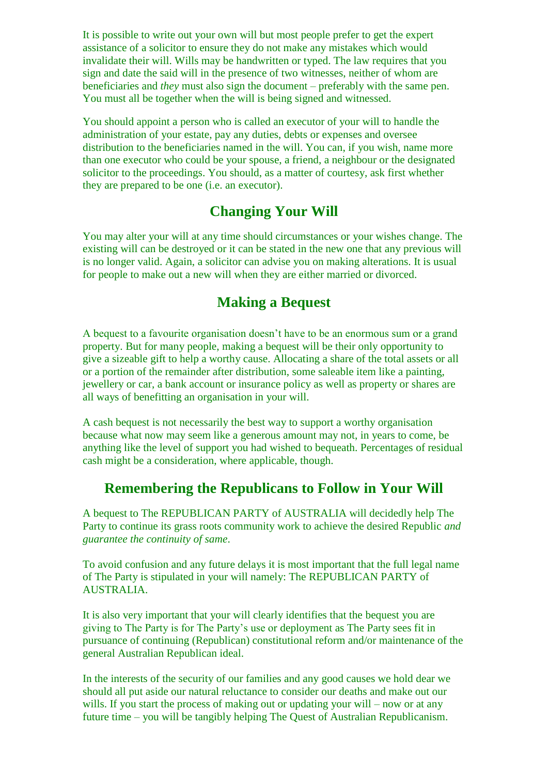It is possible to write out your own will but most people prefer to get the expert assistance of a solicitor to ensure they do not make any mistakes which would invalidate their will. Wills may be handwritten or typed. The law requires that you sign and date the said will in the presence of two witnesses, neither of whom are beneficiaries and *they* must also sign the document – preferably with the same pen. You must all be together when the will is being signed and witnessed.

You should appoint a person who is called an executor of your will to handle the administration of your estate, pay any duties, debts or expenses and oversee distribution to the beneficiaries named in the will. You can, if you wish, name more than one executor who could be your spouse, a friend, a neighbour or the designated solicitor to the proceedings. You should, as a matter of courtesy, ask first whether they are prepared to be one (i.e. an executor).

# **Changing Your Will**

You may alter your will at any time should circumstances or your wishes change. The existing will can be destroyed or it can be stated in the new one that any previous will is no longer valid. Again, a solicitor can advise you on making alterations. It is usual for people to make out a new will when they are either married or divorced.

## **Making a Bequest**

A bequest to a favourite organisation doesn't have to be an enormous sum or a grand property. But for many people, making a bequest will be their only opportunity to give a sizeable gift to help a worthy cause. Allocating a share of the total assets or all or a portion of the remainder after distribution, some saleable item like a painting, jewellery or car, a bank account or insurance policy as well as property or shares are all ways of benefitting an organisation in your will.

A cash bequest is not necessarily the best way to support a worthy organisation because what now may seem like a generous amount may not, in years to come, be anything like the level of support you had wished to bequeath. Percentages of residual cash might be a consideration, where applicable, though.

## **Remembering the Republicans to Follow in Your Will**

A bequest to The REPUBLICAN PARTY of AUSTRALIA will decidedly help The Party to continue its grass roots community work to achieve the desired Republic *and guarantee the continuity of same*.

To avoid confusion and any future delays it is most important that the full legal name of The Party is stipulated in your will namely: The REPUBLICAN PARTY of AUSTRALIA.

It is also very important that your will clearly identifies that the bequest you are giving to The Party is for The Party's use or deployment as The Party sees fit in pursuance of continuing (Republican) constitutional reform and/or maintenance of the general Australian Republican ideal.

In the interests of the security of our families and any good causes we hold dear we should all put aside our natural reluctance to consider our deaths and make out our wills. If you start the process of making out or updating your will – now or at any future time – you will be tangibly helping The Quest of Australian Republicanism.